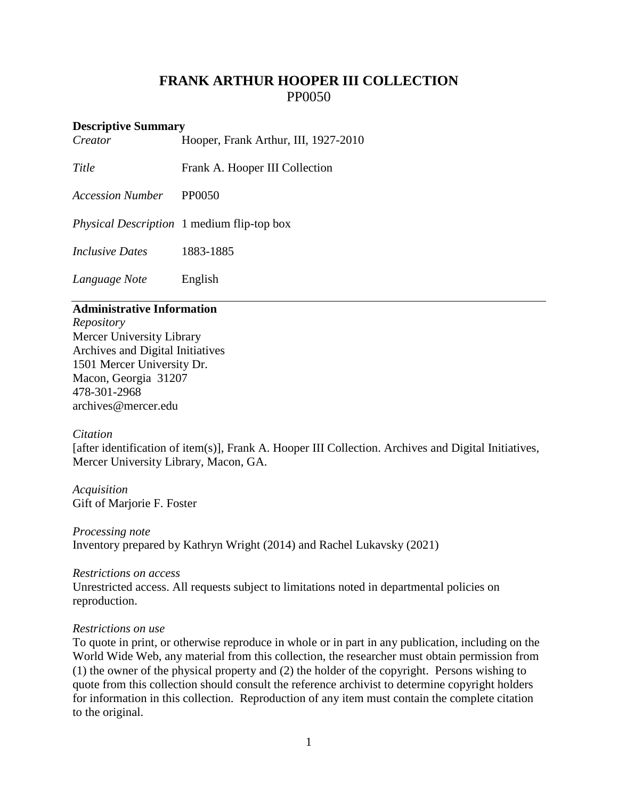# **FRANK ARTHUR HOOPER III COLLECTION** PP0050

# **Descriptive Summary**<br>Creator **H**

*Creator* Hooper, Frank Arthur, III, 1927-2010

**Title** Frank A. Hooper III Collection

*Accession Number* PP0050

*Physical Description* 1 medium flip-top box

*Inclusive Dates* 1883-1885

*Language Note* English

### **Administrative Information**

*Repository* Mercer University Library Archives and Digital Initiatives 1501 Mercer University Dr. Macon, Georgia 31207 478-301-2968 [archives@mercer.edu](mailto:archives@mercer.edu)

#### *Citation*

[after identification of item(s)], Frank A. Hooper III Collection. Archives and Digital Initiatives, Mercer University Library, Macon, GA.

*Acquisition* Gift of Marjorie F. Foster

*Processing note* Inventory prepared by Kathryn Wright (2014) and Rachel Lukavsky (2021)

#### *Restrictions on access*

Unrestricted access. All requests subject to limitations noted in departmental policies on reproduction.

#### *Restrictions on use*

To quote in print, or otherwise reproduce in whole or in part in any publication, including on the World Wide Web, any material from this collection, the researcher must obtain permission from (1) the owner of the physical property and (2) the holder of the copyright. Persons wishing to quote from this collection should consult the reference archivist to determine copyright holders for information in this collection. Reproduction of any item must contain the complete citation to the original.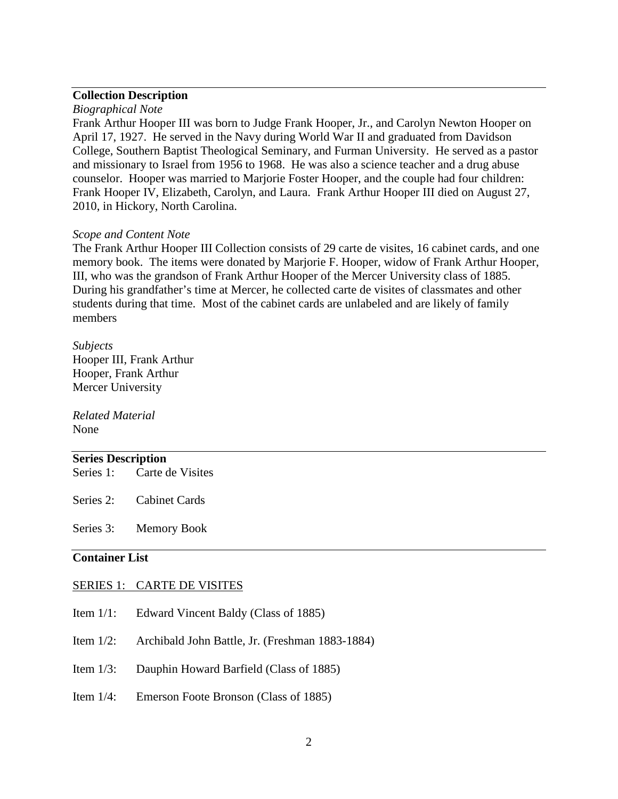# **Collection Description**

#### *Biographical Note*

Frank Arthur Hooper III was born to Judge Frank Hooper, Jr., and Carolyn Newton Hooper on April 17, 1927. He served in the Navy during World War II and graduated from Davidson College, Southern Baptist Theological Seminary, and Furman University. He served as a pastor and missionary to Israel from 1956 to 1968. He was also a science teacher and a drug abuse counselor. Hooper was married to Marjorie Foster Hooper, and the couple had four children: Frank Hooper IV, Elizabeth, Carolyn, and Laura. Frank Arthur Hooper III died on August 27, 2010, in Hickory, North Carolina.

#### *Scope and Content Note*

The Frank Arthur Hooper III Collection consists of 29 carte de visites, 16 cabinet cards, and one memory book. The items were donated by Marjorie F. Hooper, widow of Frank Arthur Hooper, III, who was the grandson of Frank Arthur Hooper of the Mercer University class of 1885. During his grandfather's time at Mercer, he collected carte de visites of classmates and other students during that time. Most of the cabinet cards are unlabeled and are likely of family members

# *Subjects*

Hooper III, Frank Arthur Hooper, Frank Arthur Mercer University

*Related Material* None

#### **Series Description**

| Series 1: | Carte de Visites |  |
|-----------|------------------|--|
|-----------|------------------|--|

| Series 2: | <b>Cabinet Cards</b> |  |
|-----------|----------------------|--|
|           |                      |  |

Series 3: Memory Book

# **Container List**

#### SERIES 1: CARTE DE VISITES

- Item 1/1: Edward Vincent Baldy (Class of 1885)
- Item 1/2: Archibald John Battle, Jr. (Freshman 1883-1884)
- Item 1/3: Dauphin Howard Barfield (Class of 1885)
- Item 1/4: Emerson Foote Bronson (Class of 1885)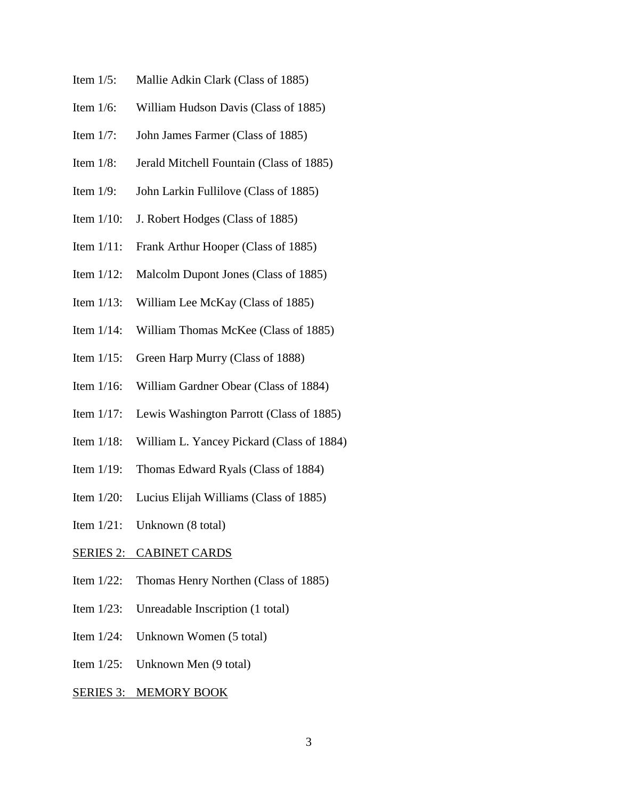- Item 1/5: Mallie Adkin Clark (Class of 1885)
- Item 1/6: William Hudson Davis (Class of 1885)
- Item 1/7: John James Farmer (Class of 1885)
- Item 1/8: Jerald Mitchell Fountain (Class of 1885)
- Item 1/9: John Larkin Fullilove (Class of 1885)
- Item 1/10: J. Robert Hodges (Class of 1885)
- Item 1/11: Frank Arthur Hooper (Class of 1885)
- Item 1/12: Malcolm Dupont Jones (Class of 1885)
- Item 1/13: William Lee McKay (Class of 1885)
- Item 1/14: William Thomas McKee (Class of 1885)
- Item 1/15: Green Harp Murry (Class of 1888)
- Item 1/16: William Gardner Obear (Class of 1884)
- Item 1/17: Lewis Washington Parrott (Class of 1885)
- Item 1/18: William L. Yancey Pickard (Class of 1884)
- Item 1/19: Thomas Edward Ryals (Class of 1884)
- Item 1/20: Lucius Elijah Williams (Class of 1885)
- Item 1/21: Unknown (8 total)

#### SERIES 2: CABINET CARDS

- Item 1/22: Thomas Henry Northen (Class of 1885)
- Item 1/23: Unreadable Inscription (1 total)
- Item 1/24: Unknown Women (5 total)
- Item 1/25: Unknown Men (9 total)

#### SERIES 3: MEMORY BOOK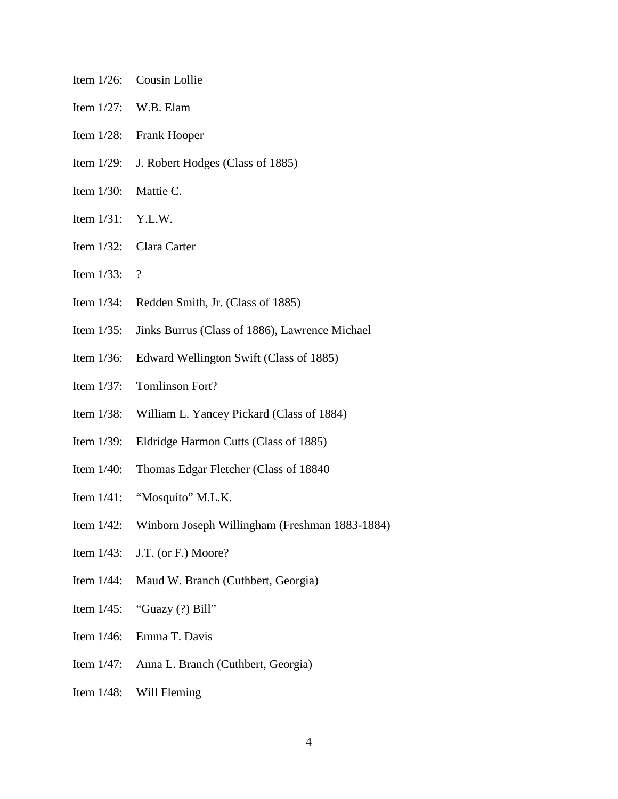- Item 1/26: Cousin Lollie
- Item 1/27: W.B. Elam
- Item 1/28: Frank Hooper
- Item 1/29: J. Robert Hodges (Class of 1885)
- Item 1/30: Mattie C.
- Item 1/31: Y.L.W.
- Item 1/32: Clara Carter
- Item 1/33: ?
- Item 1/34: Redden Smith, Jr. (Class of 1885)
- Item 1/35: Jinks Burrus (Class of 1886), Lawrence Michael
- Item 1/36: Edward Wellington Swift (Class of 1885)
- Item 1/37: Tomlinson Fort?
- Item 1/38: William L. Yancey Pickard (Class of 1884)
- Item 1/39: Eldridge Harmon Cutts (Class of 1885)
- Item 1/40: Thomas Edgar Fletcher (Class of 18840
- Item 1/41: "Mosquito" M.L.K.
- Item 1/42: Winborn Joseph Willingham (Freshman 1883-1884)
- Item 1/43: J.T. (or F.) Moore?
- Item 1/44: Maud W. Branch (Cuthbert, Georgia)
- Item  $1/45$ : "Guazy (?) Bill"
- Item 1/46: Emma T. Davis
- Item 1/47: Anna L. Branch (Cuthbert, Georgia)
- Item 1/48: Will Fleming